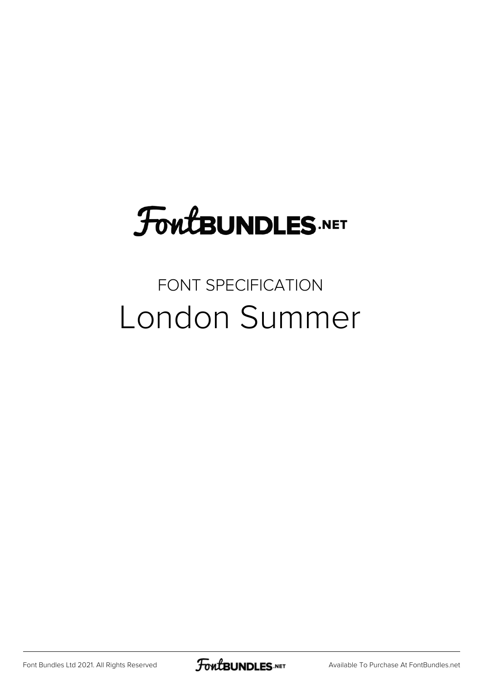# **FoutBUNDLES.NET**

### FONT SPECIFICATION London Summer

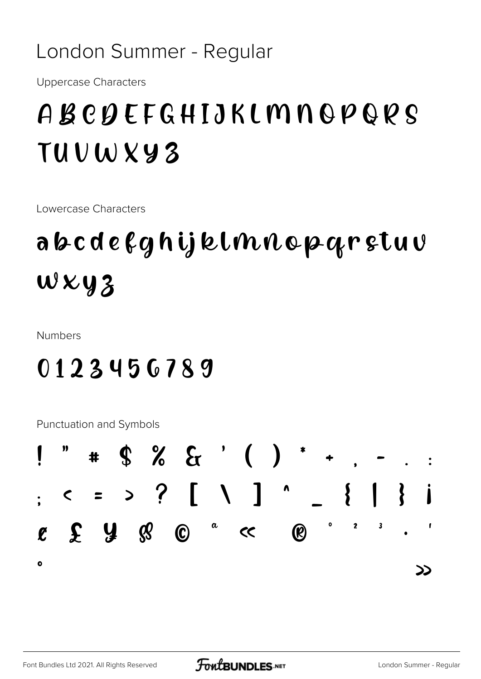#### London Summer - Regular

**Uppercase Characters** 

## ABCDEFGHIJKLMNOPORS TUVWXY3

Lowercase Characters

## abcdefghijklmnopqrstuv  $W$   $\times$   $y$   $3$

**Numbers** 

### 0123456789

Punctuation and Symbols

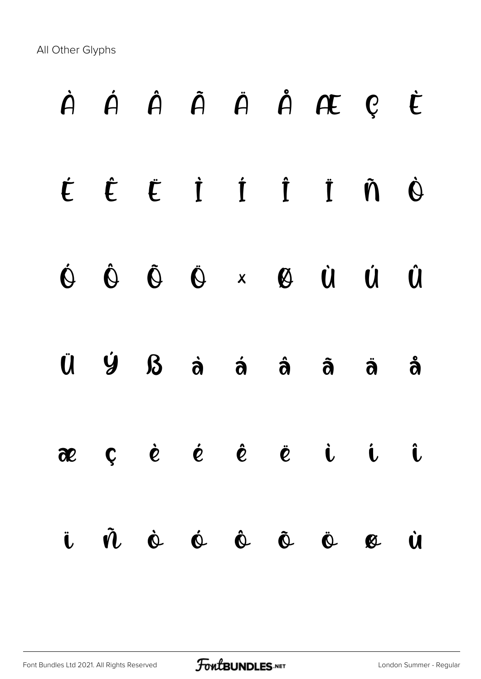All Other Glyphs

# À Á Â Ã Ä Å Æ Ç È É Ê Ë Ì Í Î Ï Ñ Ò Ó Ô Õ Ö × Ø Ù Ú Û Ü Ý ß à á â ã ä å æ ç è é ê ë ì í î ï ñ ò ó ô õ ö ø ù